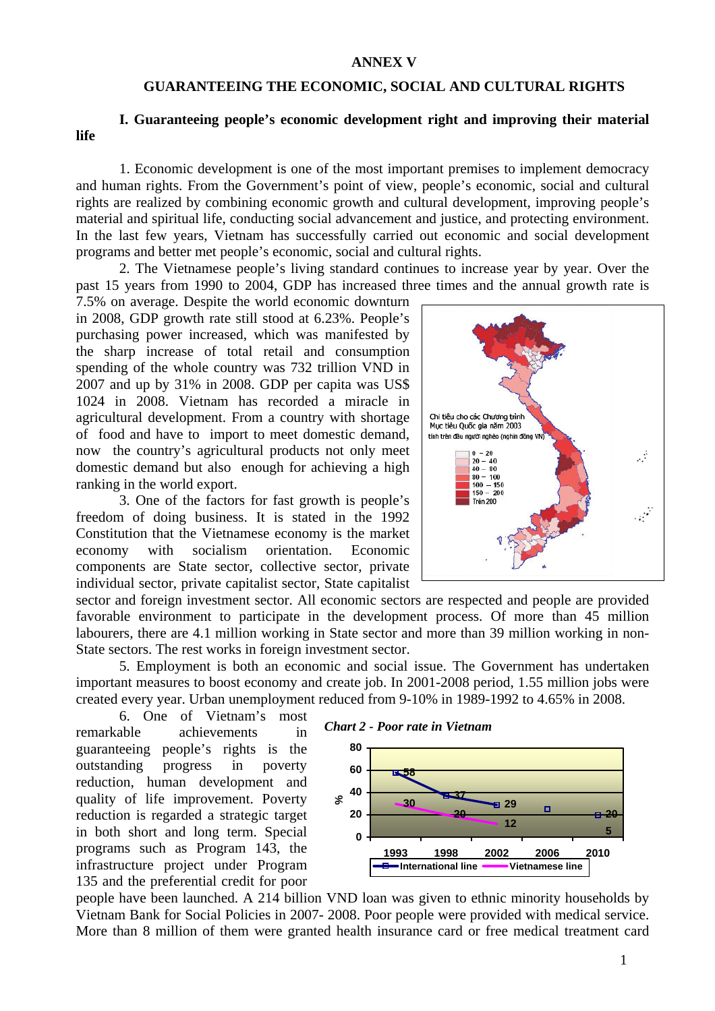#### **ANNEX V**

# **GUARANTEEING THE ECONOMIC, SOCIAL AND CULTURAL RIGHTS**

# **I. Guaranteeing people's economic development right and improving their material life**

1. Economic development is one of the most important premises to implement democracy and human rights. From the Government's point of view, people's economic, social and cultural rights are realized by combining economic growth and cultural development, improving people's material and spiritual life, conducting social advancement and justice, and protecting environment. In the last few years, Vietnam has successfully carried out economic and social development programs and better met people's economic, social and cultural rights.

2. The Vietnamese people's living standard continues to increase year by year. Over the past 15 years from 1990 to 2004, GDP has increased three times and the annual growth rate is

7.5% on average. Despite the world economic downturn in 2008, GDP growth rate still stood at 6.23%. People's purchasing power increased, which was manifested by the sharp increase of total retail and consumption spending of the whole country was 732 trillion VND in 2007 and up by 31% in 2008. GDP per capita was US\$ 1024 in 2008. Vietnam has recorded a miracle in agricultural development. From a country with shortage of food and have to import to meet domestic demand, now the country's agricultural products not only meet domestic demand but also enough for achieving a high ranking in the world export.

3. One of the factors for fast growth is people's freedom of doing business. It is stated in the 1992 Constitution that the Vietnamese economy is the market economy with socialism orientation. Economic components are State sector, collective sector, private individual sector, private capitalist sector, State capitalist

sector and foreign investment sector. All economic sectors are respected and people are provided favorable environment to participate in the development process. Of more than 45 million labourers, there are 4.1 million working in State sector and more than 39 million working in non-State sectors. The rest works in foreign investment sector.

5. Employment is both an economic and social issue. The Government has undertaken important measures to boost economy and create job. In 2001-2008 period, 1.55 million jobs were created every year. Urban unemployment reduced from 9-10% in 1989-1992 to 4.65% in 2008.

6. One of Vietnam's most remarkable achievements in guaranteeing people's rights is the outstanding progress in poverty reduction, human development and quality of life improvement. Poverty reduction is regarded a strategic target in both short and long term. Special programs such as Program 143, the infrastructure project under Program 135 and the preferential credit for poor





people have been launched. A 214 billion VND loan was given to ethnic minority households by Vietnam Bank for Social Policies in 2007- 2008. Poor people were provided with medical service. More than 8 million of them were granted health insurance card or free medical treatment card

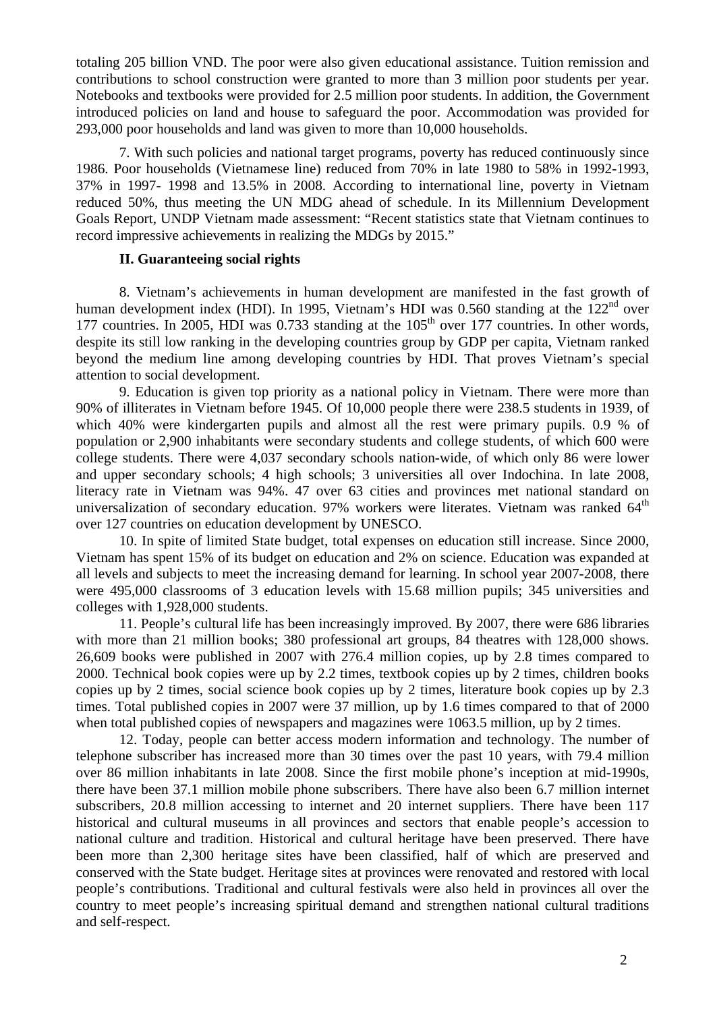totaling 205 billion VND. The poor were also given educational assistance. Tuition remission and contributions to school construction were granted to more than 3 million poor students per year. Notebooks and textbooks were provided for 2.5 million poor students. In addition, the Government introduced policies on land and house to safeguard the poor. Accommodation was provided for 293,000 poor households and land was given to more than 10,000 households.

7. With such policies and national target programs, poverty has reduced continuously since 1986. Poor households (Vietnamese line) reduced from 70% in late 1980 to 58% in 1992-1993, 37% in 1997- 1998 and 13.5% in 2008. According to international line, poverty in Vietnam reduced 50%, thus meeting the UN MDG ahead of schedule. In its Millennium Development Goals Report, UNDP Vietnam made assessment: "Recent statistics state that Vietnam continues to record impressive achievements in realizing the MDGs by 2015."

# **II. Guaranteeing social rights**

8. Vietnam's achievements in human development are manifested in the fast growth of human development index (HDI). In 1995, Vietnam's HDI was 0.560 standing at the  $122<sup>nd</sup>$  over 177 countries. In 2005, HDI was  $0.733$  standing at the  $105<sup>th</sup>$  over 177 countries. In other words, despite its still low ranking in the developing countries group by GDP per capita, Vietnam ranked beyond the medium line among developing countries by HDI. That proves Vietnam's special attention to social development.

9. Education is given top priority as a national policy in Vietnam. There were more than 90% of illiterates in Vietnam before 1945. Of 10,000 people there were 238.5 students in 1939, of which 40% were kindergarten pupils and almost all the rest were primary pupils. 0.9 % of population or 2,900 inhabitants were secondary students and college students, of which 600 were college students. There were 4,037 secondary schools nation-wide, of which only 86 were lower and upper secondary schools; 4 high schools; 3 universities all over Indochina. In late 2008, literacy rate in Vietnam was 94%. 47 over 63 cities and provinces met national standard on universalization of secondary education. 97% workers were literates. Vietnam was ranked  $64<sup>th</sup>$ over 127 countries on education development by UNESCO.

10. In spite of limited State budget, total expenses on education still increase. Since 2000, Vietnam has spent 15% of its budget on education and 2% on science. Education was expanded at all levels and subjects to meet the increasing demand for learning. In school year 2007-2008, there were 495,000 classrooms of 3 education levels with 15.68 million pupils; 345 universities and colleges with 1,928,000 students.

11. People's cultural life has been increasingly improved. By 2007, there were 686 libraries with more than 21 million books; 380 professional art groups, 84 theatres with 128,000 shows. 26,609 books were published in 2007 with 276.4 million copies, up by 2.8 times compared to 2000. Technical book copies were up by 2.2 times, textbook copies up by 2 times, children books copies up by 2 times, social science book copies up by 2 times, literature book copies up by 2.3 times. Total published copies in 2007 were 37 million, up by 1.6 times compared to that of 2000 when total published copies of newspapers and magazines were 1063.5 million, up by 2 times.

12. Today, people can better access modern information and technology. The number of telephone subscriber has increased more than 30 times over the past 10 years, with 79.4 million over 86 million inhabitants in late 2008. Since the first mobile phone's inception at mid-1990s, there have been 37.1 million mobile phone subscribers. There have also been 6.7 million internet subscribers, 20.8 million accessing to internet and 20 internet suppliers. There have been 117 historical and cultural museums in all provinces and sectors that enable people's accession to national culture and tradition. Historical and cultural heritage have been preserved. There have been more than 2,300 heritage sites have been classified, half of which are preserved and conserved with the State budget. Heritage sites at provinces were renovated and restored with local people's contributions. Traditional and cultural festivals were also held in provinces all over the country to meet people's increasing spiritual demand and strengthen national cultural traditions and self-respect.